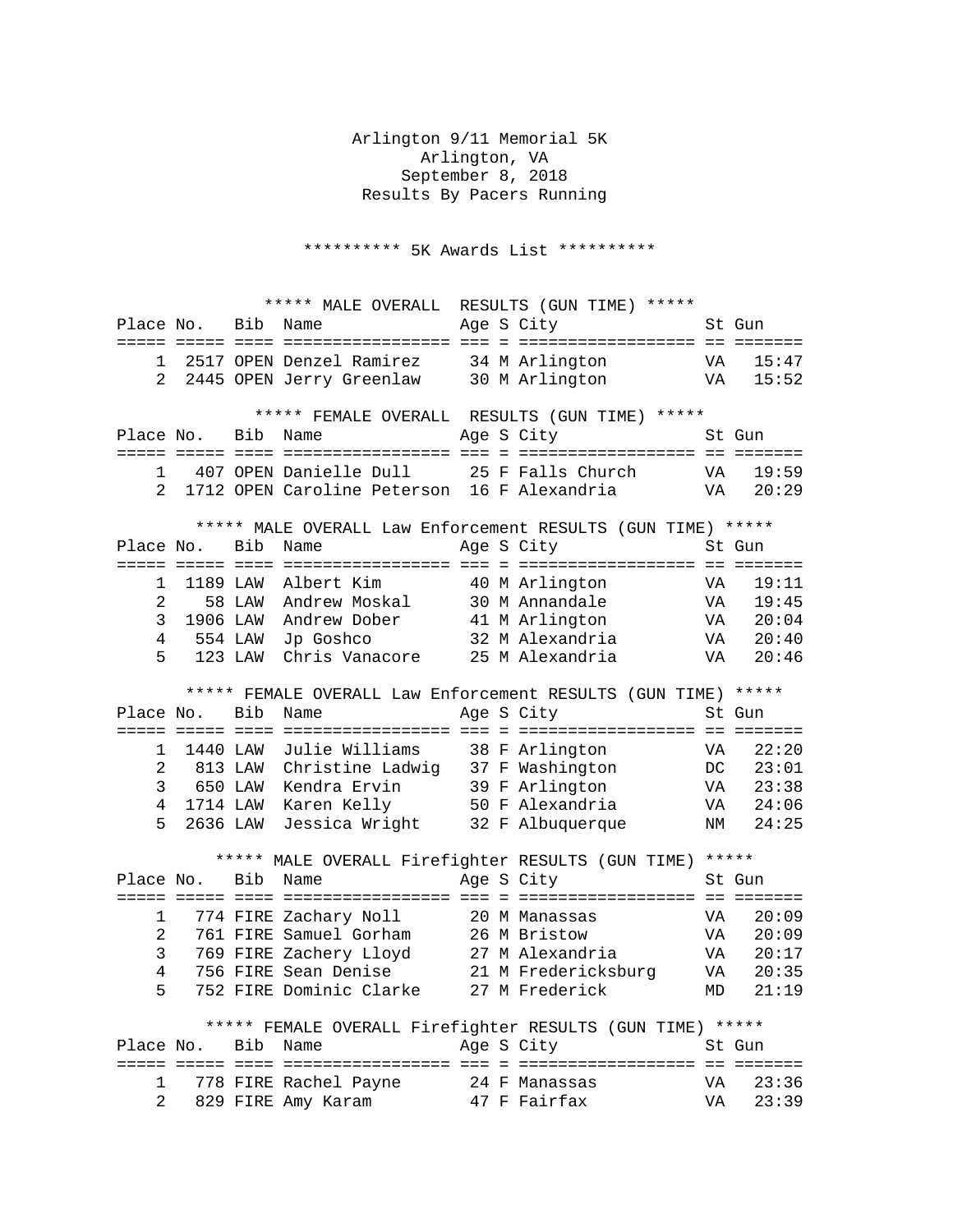Arlington 9/11 Memorial 5K Arlington, VA September 8, 2018 Results By Pacers Running

\*\*\*\*\*\*\*\*\*\* 5K Awards List \*\*\*\*\*\*\*\*\*\*

| ***** MALE OVERALL RESULTS (GUN TIME) *****                   |                    |         |                                                                                                                         |  |  |                                  |           |        |
|---------------------------------------------------------------|--------------------|---------|-------------------------------------------------------------------------------------------------------------------------|--|--|----------------------------------|-----------|--------|
| Place No.                                                     |                    | Bib     | Name                                                                                                                    |  |  | Age S City                       |           | St Gun |
|                                                               |                    |         |                                                                                                                         |  |  |                                  |           |        |
| 1                                                             |                    |         | 2517 OPEN Denzel Ramirez 34 M Arlington                                                                                 |  |  |                                  | VA        | 15:47  |
| 2                                                             |                    |         | 2445 OPEN Jerry Greenlaw 30 M Arlington                                                                                 |  |  | <b>VA</b>                        |           | 15:52  |
| ***** FEMALE OVERALL RESULTS (GUN TIME) *****                 |                    |         |                                                                                                                         |  |  |                                  |           |        |
| Place No.                                                     |                    |         | Bib Name                                                                                                                |  |  | Age S City                       |           | St Gun |
|                                                               |                    |         |                                                                                                                         |  |  |                                  |           |        |
| 1                                                             |                    |         | 407 OPEN Danielle Dull                                                                                                  |  |  | 25 F Falls Church                | VA        | 19:59  |
| $\mathcal{L}$                                                 |                    |         | 1712 OPEN Caroline Peterson 16 F Alexandria                                                                             |  |  |                                  | VA        | 20:29  |
|                                                               |                    |         |                                                                                                                         |  |  |                                  |           |        |
| ***** MALE OVERALL Law Enforcement RESULTS (GUN TIME) *****   |                    |         |                                                                                                                         |  |  |                                  |           |        |
|                                                               | Place No.          | Bib     | Name                                                                                                                    |  |  | Age S City                       |           | St Gun |
|                                                               |                    |         |                                                                                                                         |  |  |                                  |           |        |
| 1                                                             | 1189 LAW           |         | Albert Kim                                                                                                              |  |  | 40 M Arlington<br>30 M Annandale | VA        | 19:11  |
| 2                                                             |                    | 58 LAW  | Andrew Moskal                                                                                                           |  |  |                                  | VA        | 19:45  |
| 3                                                             | 1906 LAW           |         | Andrew Dober                                                                                                            |  |  | 41 M Arlington                   | VA        | 20:04  |
| $\overline{4}$                                                |                    | 554 LAW | Jp Goshco                                                                                                               |  |  | 32 M Alexandria                  | VA        | 20:40  |
| 5                                                             |                    | 123 LAW | Chris Vanacore 25 M Alexandria                                                                                          |  |  |                                  | VA        | 20:46  |
| ***** FEMALE OVERALL Law Enforcement RESULTS (GUN TIME) ***** |                    |         |                                                                                                                         |  |  |                                  |           |        |
|                                                               |                    |         |                                                                                                                         |  |  |                                  |           |        |
| Place No.                                                     |                    | Bib     | Name                                                                                                                    |  |  | Age S City                       |           | St Gun |
|                                                               |                    |         |                                                                                                                         |  |  |                                  |           |        |
| 1                                                             | 1440 LAW           |         | Julie Williams                                                                                                          |  |  | 38 F Arlington                   | VA        | 22:20  |
| 2                                                             |                    |         |                                                                                                                         |  |  | DC DC                            |           | 23:01  |
| 3                                                             |                    |         | 813 LAW Christine Ladwig 37 F Washington<br>650 LAW Kendra Ervin 39 F Arlington<br>1714 LAW Karen Kelly 50 F Alexandria |  |  |                                  | VA        | 23:38  |
| $4\overline{ }$                                               |                    |         |                                                                                                                         |  |  |                                  | VA        | 24:06  |
| 5                                                             | 2636 LAW           |         |                                                                                                                         |  |  | Jessica Wright 32 F Albuquerque  | NM        | 24:25  |
| ***** MALE OVERALL Firefighter RESULTS (GUN TIME) *****       |                    |         |                                                                                                                         |  |  |                                  |           |        |
| Place No.                                                     |                    | Bib     | Name                                                                                                                    |  |  | Age S City                       |           | St Gun |
|                                                               |                    |         |                                                                                                                         |  |  |                                  |           |        |
| $\mathbf{1}$                                                  |                    |         | 774 FIRE Zachary Noll                                                                                                   |  |  | 20 M Manassas                    | VA        | 20:09  |
| 2                                                             |                    |         | 761 FIRE Samuel Gorham                                                                                                  |  |  | 26 M Bristow                     | VA        | 20:09  |
| 3                                                             |                    |         | 769 FIRE Zachery Lloyd 27 M Alexandria                                                                                  |  |  |                                  | VA        | 20:17  |
| 4                                                             |                    |         |                                                                                                                         |  |  |                                  | VA        | 20:35  |
| 5                                                             |                    |         |                                                                                                                         |  |  |                                  | MD        | 21:19  |
|                                                               |                    |         |                                                                                                                         |  |  |                                  |           |        |
| ***** FEMALE OVERALL Firefighter RESULTS (GUN TIME) *****     |                    |         |                                                                                                                         |  |  |                                  |           |        |
|                                                               | Place No. Bib Name |         |                                                                                                                         |  |  | Age S City                       |           | St Gun |
|                                                               |                    |         |                                                                                                                         |  |  |                                  |           |        |
| $\mathbf{1}$                                                  |                    |         | 778 FIRE Rachel Payne                                                                                                   |  |  | 24 F Manassas                    | VA        | 23:36  |
| 2                                                             |                    |         | 829 FIRE Amy Karam                                                                                                      |  |  | 47 F Fairfax                     | <b>VA</b> | 23:39  |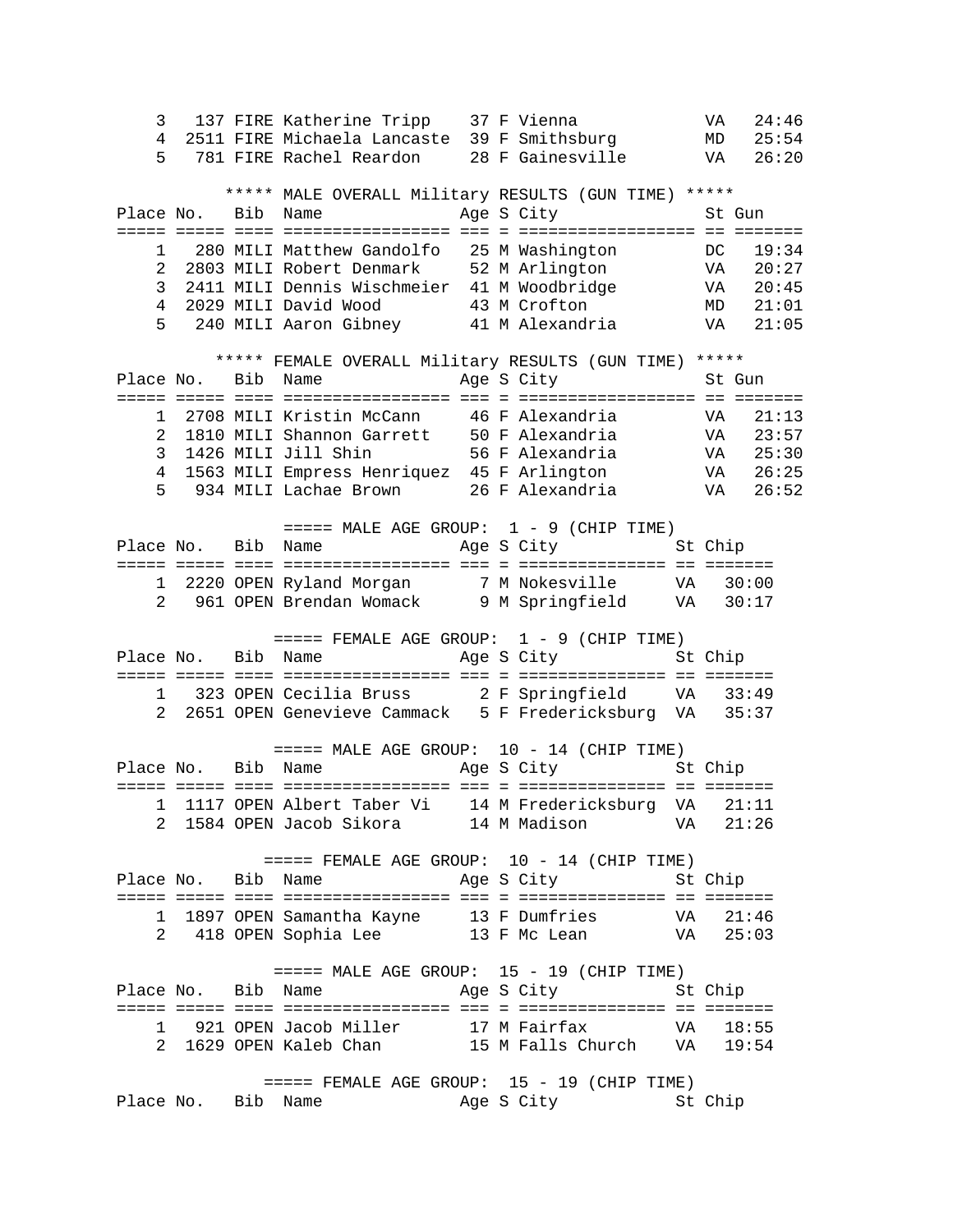3 137 FIRE Katherine Tripp 37 F Vienna VA 24:46 4 2511 FIRE Michaela Lancaste 39 F Smithsburg MD 25:54 5 781 FIRE Rachel Reardon 28 F Gainesville VA 26:20 \*\*\*\*\* MALE OVERALL Military RESULTS (GUN TIME) \*\*\*\*\*<br>Bib Name Age S City St Gun Place No. Bib Name Mage S City ===== ===== ==== ================= === = ================== == ======= 1 280 MILI Matthew Gandolfo 25 M Washington DC 19:34<br>2 2803 MILI Robert Denmark 52 M Arlington VA 20:27 2 2803 MILI Robert Denmark 52 M Arlington VA 20:27 3 2411 MILI Dennis Wischmeier 41 M Woodbridge VA 20:45 4 2029 MILI David Wood 43 M Crofton MD 21:01 5 240 MILI Aaron Gibney 41 M Alexandria VA 21:05 \*\*\*\*\* FEMALE OVERALL Military RESULTS (GUN TIME) \*\*\*\*\* Place No. Bib Name Age S City St Gun ===== ===== ==== ================= === = ================== == ======= 1 2708 MILI Kristin McCann 46 F Alexandria VA 21:13 2 1810 MILI Shannon Garrett 50 F Alexandria VA 23:57 3 1426 MILI Jill Shin 56 F Alexandria VA 25:30 4 1563 MILI Empress Henriquez 45 F Arlington VA 26:25 5 934 MILI Lachae Brown 26 F Alexandria VA 26:52 ===== MALE AGE GROUP: 1 - 9 (CHIP TIME)<br>Name age S City 5t Chip Place No. Bib Name Mage S City ===== ===== ==== ================= === = =============== == ======= 1 2220 OPEN Ryland Morgan 7 M Nokesville VA 30:00 2 961 OPEN Brendan Womack 9 M Springfield VA 30:17  $====$  FEMALE AGE GROUP:  $1 - 9$  (CHIP TIME) Place No. Bib Name Age S City St Chip ===== ===== ==== ================= === = =============== == ======= 1 323 OPEN Cecilia Bruss 2 F Springfield VA 33:49 2 2651 OPEN Genevieve Cammack 5 F Fredericksburg VA 35:37  $====$  MALE AGE GROUP:  $10 - 14$  (CHIP TIME) Place No. Bib Name Age S City St Chip ===== ===== ==== ================= === = =============== == ======= 1 1117 OPEN Albert Taber Vi 14 M Fredericksburg VA 21:11 2 1584 OPEN Jacob Sikora 14 M Madison VA 21:26 ===== FEMALE AGE GROUP: 10 - 14 (CHIP TIME)<br>Place No. Bib Name age S City St Chip Age S City ===== ===== ==== ================= === = =============== == ======= 1 1897 OPEN Samantha Kayne 13 F Dumfries VA 21:46 2 418 OPEN Sophia Lee 13 F Mc Lean VA 25:03  $====$  MALE AGE GROUP:  $15 - 19$  (CHIP TIME) Place No. Bib Name Age S City St Chip ===== ===== ==== ================= === = =============== == ======= 1 921 OPEN Jacob Miller 17 M Fairfax VA 18:55 2 1629 OPEN Kaleb Chan 15 M Falls Church VA 19:54 ===== FEMALE AGE GROUP: 15 - 19 (CHIP TIME)<br>b Name Age S City St Chip Place No. Bib Name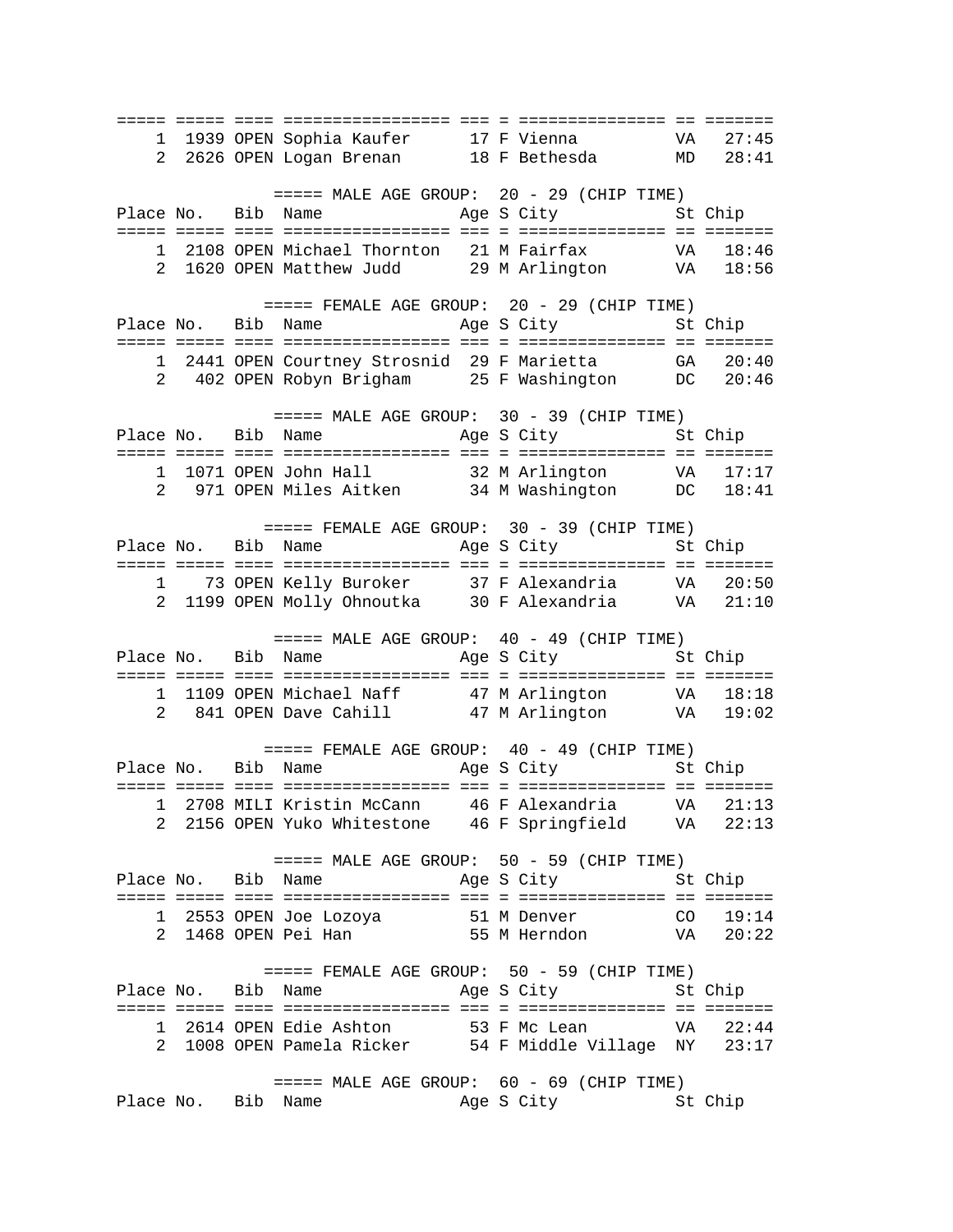===== ===== ==== ================= === = =============== == ======= 1 1939 OPEN Sophia Kaufer 17 F Vienna VA 27:45 2 2626 OPEN Logan Brenan 18 F Bethesda MD 28:41  $====$  MALE AGE GROUP: 20 - 29 (CHIP TIME) Place No. Bib Name Age S City St Chip ===== ===== ==== ================= === = =============== == ======= 1 2108 OPEN Michael Thornton 21 M Fairfax 2 1620 OPEN Matthew Judd 29 M Arlington VA 18:56 ===== FEMALE AGE GROUP: 20 - 29 (CHIP TIME)<br>Place No. Bib Name age S City St Chip Age S City ===== ===== ==== ================= === = =============== == ======= 1 2441 OPEN Courtney Strosnid 29 F Marietta GA 20:40 2 402 OPEN Robyn Brigham 25 F Washington DC 20:46  $====$  MALE AGE GROUP:  $30 - 39$  (CHIP TIME) Place No. Bib Name Mage S City St Chip ===== ===== ==== ================= === = =============== == ======= 1 1071 OPEN John Hall 32 M Arlington VA 17:17 2 971 OPEN Miles Aitken 34 M Washington DC 18:41 ===== FEMALE AGE GROUP: 30 - 39 (CHIP TIME)<br>Place No. Bib Name age S City St Chip Age S City ===== ===== ==== ================= === = =============== == ======= 1 73 OPEN Kelly Buroker 37 F Alexandria VA 20:50 2 1199 OPEN Molly Ohnoutka 30 F Alexandria VA 21:10  $====$  MALE AGE GROUP:  $40 - 49$  (CHIP TIME) Place No. Bib Name Age S City St Chip ===== ===== ==== ================= === = =============== == ======= 1 1109 OPEN Michael Naff 47 M Arlington VA 18:18 2 841 OPEN Dave Cahill 47 M Arlington VA 19:02  $====$  FEMALE AGE GROUP:  $40 - 49$  (CHIP TIME) Place No. Bib Name Age S City St Chip ===== ===== ==== ================= === = =============== == ======= 1 2708 MILI Kristin McCann 46 F Alexandria VA 21:13 2 2156 OPEN Yuko Whitestone 46 F Springfield VA 22:13 ===== MALE AGE GROUP: 50 - 59 (CHIP TIME)<br>Place No. Bib Name age S City St Chip Age S City ===== ===== ==== ================= === = =============== == ======= 1 2553 OPEN Joe Lozoya 51 M Denver CO 19:14 2 1468 OPEN Pei Han 55 M Herndon VA 20:22 ===== FEMALE AGE GROUP: 50 - 59 (CHIP TIME)<br>Place No. Bib Name age S City St Bib Name Age S City St Chip ===== ===== ==== ================= === = =============== == ======= 1 2614 OPEN Edie Ashton 53 F Mc Lean VA 22:44 2 1008 OPEN Pamela Ricker 54 F Middle Village NY 23:17 ===== MALE AGE GROUP: 60 - 69 (CHIP TIME) Place No. Bib Name